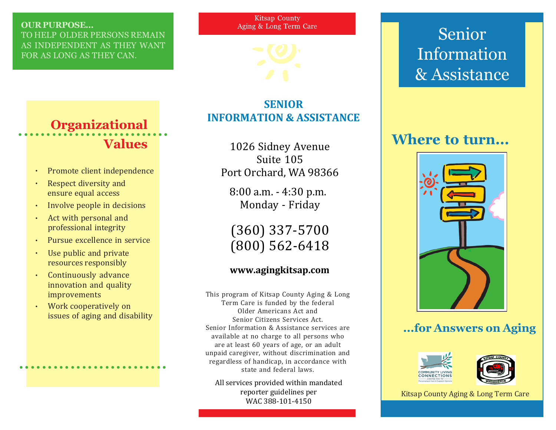### OUR PURPOSE...

TO HELP OLDER PERSONS REMAIN AS INDEPENDENT AS THEY WANT FOR AS LONG AS THEY CAN.

Kitsap County Aging & Long Term Care



## **SENIOR INFORMATION & ASSISTANCE**

1026 Sidney Avenue Suite 105 Port Orchard, WA 98366

8:00 a.m. - 4:30 p.m. Monday - Friday

(360) 337-5700 (800) 562-6418

### **www.agingkitsap.com**

This program of Kitsap County Aging & Long Term Care is funded by the federal Older Americans Act and Senior Citizens Services Act. Senior Information & Assistance services are available at no charge to all persons who are at least 60 years of age, or an adult unpaid caregiver, without discrimination and regardless of handicap, in accordance with state and federal laws.

All services provided within mandated reporter guidelines per WAC 388-101-4150

# Senior Information & Assistance

## Where to turn...



## ...for Answers on Aging





Kitsap County Aging & Long Term Care

### Organizational Values ○○○○○○○○○○○○○○ ○○○○○○○○○○○○○

- Promote client independence
- Respect diversity and ensure equal access
- · Involve people in decisions
- Act with personal and professional integrity
- · Pursue excellence in service
- Use public and private resources responsibly
- · Continuously advance innovation and quality improvements
- · Work cooperatively on issues of aging and disability

○○○○○○○○○○○○○○○○○○○○○○○○○○